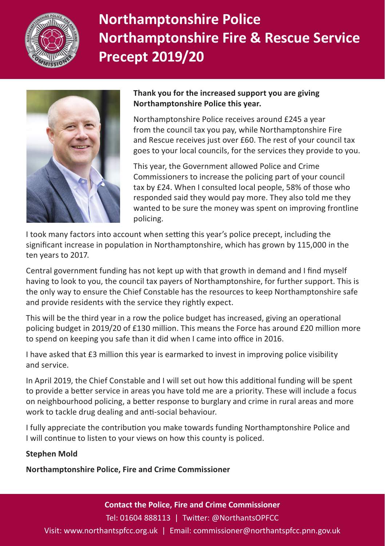

# **Northamptonshire Police Northamptonshire Fire & Rescue Service Precept 2019/20**



#### **Thank you for the increased support you are giving Northamptonshire Police this year.**

Northamptonshire Police receives around £245 a year from the council tax you pay, while Northamptonshire Fire and Rescue receives just over £60. The rest of your council tax goes to your local councils, for the services they provide to you.

This year, the Government allowed Police and Crime Commissioners to increase the policing part of your council tax by £24. When I consulted local people, 58% of those who responded said they would pay more. They also told me they wanted to be sure the money was spent on improving frontline policing.

I took many factors into account when setting this year's police precept, including the significant increase in population in Northamptonshire, which has grown by 115,000 in the ten years to 2017.

Central government funding has not kept up with that growth in demand and I find myself having to look to you, the council tax payers of Northamptonshire, for further support. This is the only way to ensure the Chief Constable has the resources to keep Northamptonshire safe and provide residents with the service they rightly expect.

This will be the third year in a row the police budget has increased, giving an operational policing budget in 2019/20 of £130 million. This means the Force has around £20 million more to spend on keeping you safe than it did when I came into office in 2016.

I have asked that £3 million this year is earmarked to invest in improving police visibility and service.

In April 2019, the Chief Constable and I will set out how this additional funding will be spent to provide a better service in areas you have told me are a priority. These will include a focus on neighbourhood policing, a better response to burglary and crime in rural areas and more work to tackle drug dealing and anti-social behaviour.

I fully appreciate the contribution you make towards funding Northamptonshire Police and I will continue to listen to your views on how this county is policed.

### **Stephen Mold**

**Northamptonshire Police, Fire and Crime Commissioner**

**Contact the Police, Fire and Crime Commissioner**

Tel: 01604 888113 | Twitter: @NorthantsOPFCC

Visit: www.northantspfcc.org.uk | Email: commissioner@northantspfcc.pnn.gov.uk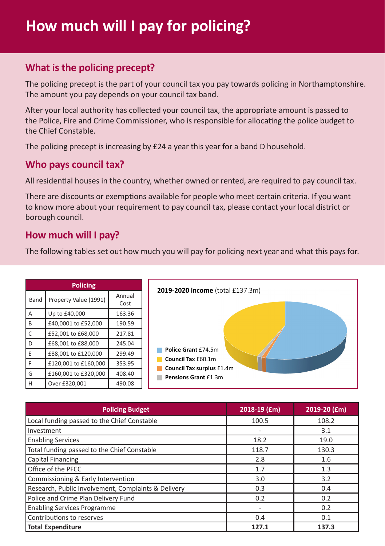# **What is the policing precept?**

The policing precept is the part of your council tax you pay towards policing in Northamptonshire. The amount you pay depends on your council tax band.

After your local authority has collected your council tax, the appropriate amount is passed to the Police, Fire and Crime Commissioner, who is responsible for allocating the police budget to the Chief Constable.

The policing precept is increasing by £24 a year this year for a band D household.

## **Who pays council tax?**

All residential houses in the country, whether owned or rented, are required to pay council tax.

There are discounts or exemptions available for people who meet certain criteria. If you want to know more about your requirement to pay council tax, please contact your local district or borough council.

## **How much will I pay?**

The following tables set out how much you will pay for policing next year and what this pays for.

| <b>Policing</b> |                       |                | 2019-2020 income (total £137.3m)                                                               |  |
|-----------------|-----------------------|----------------|------------------------------------------------------------------------------------------------|--|
| Band            | Property Value (1991) | Annual<br>Cost |                                                                                                |  |
| А               | Up to £40,000         | 163.36         |                                                                                                |  |
| B               | £40,0001 to £52,000   | 190.59         |                                                                                                |  |
|                 | £52,001 to £68,000    | 217.81         |                                                                                                |  |
| D               | £68,001 to £88,000    | 245.04         | Police Grant £74.5m<br>Council Tax £60.1m<br>Council Tax surplus £1.4m<br>Pensions Grant £1.3m |  |
| F               | £88,001 to £120,000   | 299.49         |                                                                                                |  |
|                 | £120,001 to £160,000  | 353.95         |                                                                                                |  |
| G               | £160,001 to £320,000  | 408.40         |                                                                                                |  |
| H               | Over £320.001         | 490.08         |                                                                                                |  |

| <b>Policing Budget</b>                              | 2018-19 (£m) | 2019-20 (£m) |
|-----------------------------------------------------|--------------|--------------|
| Local funding passed to the Chief Constable         | 100.5        | 108.2        |
| Investment                                          |              | 3.1          |
| <b>Enabling Services</b>                            | 18.2         | 19.0         |
| Total funding passed to the Chief Constable         | 118.7        | 130.3        |
| Capital Financing                                   | 2.8          | 1.6          |
| Office of the PFCC                                  | 1.7          | 1.3          |
| Commissioning & Early Intervention                  | 3.0          | 3.2          |
| Research, Public Involvement, Complaints & Delivery | 0.3          | 0.4          |
| Police and Crime Plan Delivery Fund                 | 0.2          | 0.2          |
| <b>Enabling Services Programme</b>                  |              | 0.2          |
| Contributions to reserves                           | 0.4          | 0.1          |
| <b>Total Expenditure</b>                            | 127.1        | 137.3        |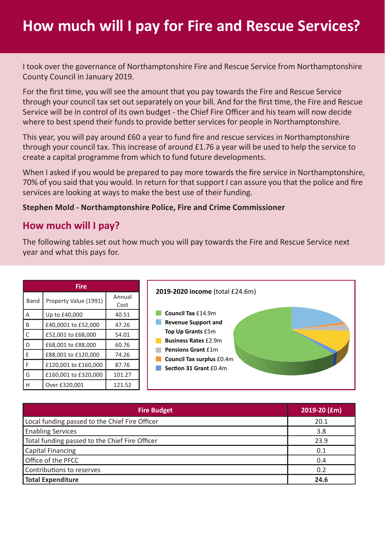# **How much will I pay for Fire and Rescue Services?**

I took over the governance of Northamptonshire Fire and Rescue Service from Northamptonshire County Council in January 2019.

For the first time, you will see the amount that you pay towards the Fire and Rescue Service through your council tax set out separately on your bill. And for the first time, the Fire and Rescue Service will be in control of its own budget - the Chief Fire Officer and his team will now decide where to best spend their funds to provide better services for people in Northamptonshire.

This year, you will pay around £60 a year to fund fire and rescue services in Northamptonshire through your council tax. This increase of around £1.76 a year will be used to help the service to create a capital programme from which to fund future developments.

When I asked if you would be prepared to pay more towards the fire service in Northamptonshire, 70% of you said that you would. In return for that support I can assure you that the police and fire services are looking at ways to make the best use of their funding.

#### **Stephen Mold - Northamptonshire Police, Fire and Crime Commissioner**

### **How much will I pay?**

The following tables set out how much you will pay towards the Fire and Rescue Service next year and what this pays for.

| Fire |                       |                |  |  |  |  |
|------|-----------------------|----------------|--|--|--|--|
| Band | Property Value (1991) | Annual<br>Cost |  |  |  |  |
| А    | Up to £40,000         | 40.51          |  |  |  |  |
| B    | £40,0001 to £52,000   | 47.26          |  |  |  |  |
| C    | £52,001 to £68,000    | 54.01          |  |  |  |  |
| ה    | £68,001 to £88,000    | 60.76          |  |  |  |  |
| F    | £88,001 to £120,000   | 74.26          |  |  |  |  |
| F    | £120,001 to £160,000  | 87.76          |  |  |  |  |
| G    | £160,001 to £320,000  | 101.27         |  |  |  |  |
|      | Over £320.001         | 121.52         |  |  |  |  |



| <b>Fire Budget</b>                             | 2019-20 (£m) |
|------------------------------------------------|--------------|
| Local funding passed to the Chief Fire Officer | 20.1         |
| <b>Enabling Services</b>                       | 3.8          |
| Total funding passed to the Chief Fire Officer | 23.9         |
| <b>Capital Financing</b>                       | 0.1          |
| Office of the PFCC                             | 0.4          |
| Contributions to reserves                      | 0.2          |
| Total Expenditure                              | 24.6         |